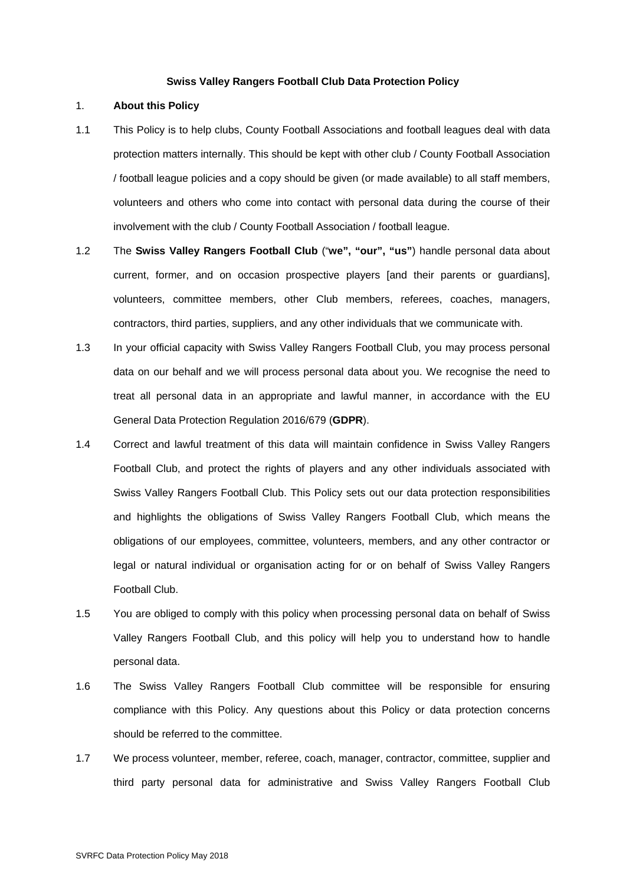#### **Swiss Valley Rangers Football Club Data Protection Policy**

## 1. **About this Policy**

- 1.1 This Policy is to help clubs, County Football Associations and football leagues deal with data protection matters internally. This should be kept with other club / County Football Association / football league policies and a copy should be given (or made available) to all staff members, volunteers and others who come into contact with personal data during the course of their involvement with the club / County Football Association / football league.
- 1.2 The **Swiss Valley Rangers Football Club** ("**we", "our", "us"**) handle personal data about current, former, and on occasion prospective players [and their parents or guardians], volunteers, committee members, other Club members, referees, coaches, managers, contractors, third parties, suppliers, and any other individuals that we communicate with.
- 1.3 In your official capacity with Swiss Valley Rangers Football Club, you may process personal data on our behalf and we will process personal data about you. We recognise the need to treat all personal data in an appropriate and lawful manner, in accordance with the EU General Data Protection Regulation 2016/679 (**GDPR**).
- 1.4 Correct and lawful treatment of this data will maintain confidence in Swiss Valley Rangers Football Club, and protect the rights of players and any other individuals associated with Swiss Valley Rangers Football Club. This Policy sets out our data protection responsibilities and highlights the obligations of Swiss Valley Rangers Football Club, which means the obligations of our employees, committee, volunteers, members, and any other contractor or legal or natural individual or organisation acting for or on behalf of Swiss Valley Rangers Football Club.
- 1.5 You are obliged to comply with this policy when processing personal data on behalf of Swiss Valley Rangers Football Club, and this policy will help you to understand how to handle personal data.
- 1.6 The Swiss Valley Rangers Football Club committee will be responsible for ensuring compliance with this Policy. Any questions about this Policy or data protection concerns should be referred to the committee.
- 1.7 We process volunteer, member, referee, coach, manager, contractor, committee, supplier and third party personal data for administrative and Swiss Valley Rangers Football Club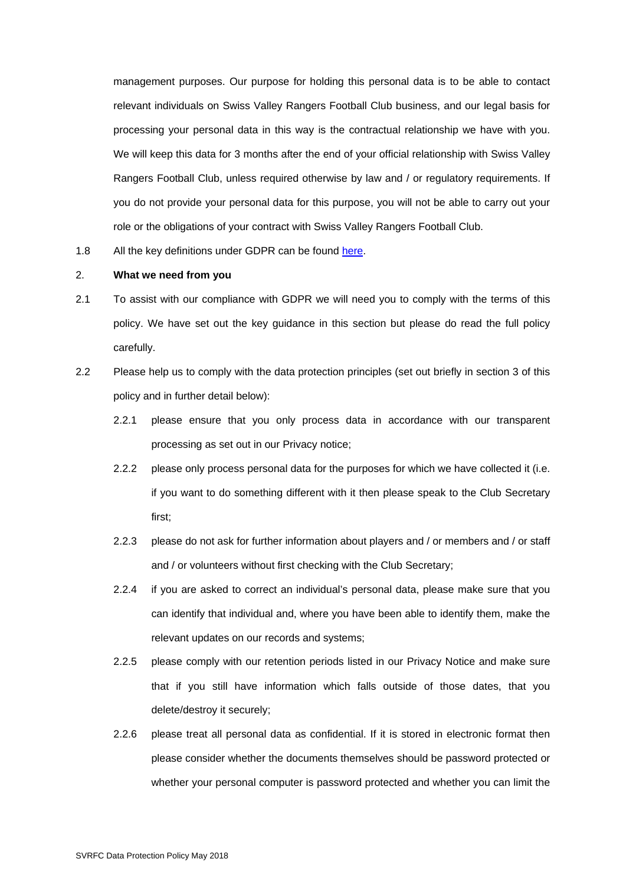management purposes. Our purpose for holding this personal data is to be able to contact relevant individuals on Swiss Valley Rangers Football Club business, and our legal basis for processing your personal data in this way is the contractual relationship we have with you. We will keep this data for 3 months after the end of your official relationship with Swiss Valley Rangers Football Club, unless required otherwise by law and / or regulatory requirements. If you do not provide your personal data for this purpose, you will not be able to carry out your role or the obligations of your contract with Swiss Valley Rangers Football Club.

1.8 All the key definitions under GDPR can be found here.

# 2. **What we need from you**

- 2.1 To assist with our compliance with GDPR we will need you to comply with the terms of this policy. We have set out the key guidance in this section but please do read the full policy carefully.
- 2.2 Please help us to comply with the data protection principles (set out briefly in section 3 of this policy and in further detail below):
	- 2.2.1 please ensure that you only process data in accordance with our transparent processing as set out in our Privacy notice;
	- 2.2.2 please only process personal data for the purposes for which we have collected it (i.e. if you want to do something different with it then please speak to the Club Secretary first;
	- 2.2.3 please do not ask for further information about players and / or members and / or staff and / or volunteers without first checking with the Club Secretary;
	- 2.2.4 if you are asked to correct an individual's personal data, please make sure that you can identify that individual and, where you have been able to identify them, make the relevant updates on our records and systems;
	- 2.2.5 please comply with our retention periods listed in our Privacy Notice and make sure that if you still have information which falls outside of those dates, that you delete/destroy it securely;
	- 2.2.6 please treat all personal data as confidential. If it is stored in electronic format then please consider whether the documents themselves should be password protected or whether your personal computer is password protected and whether you can limit the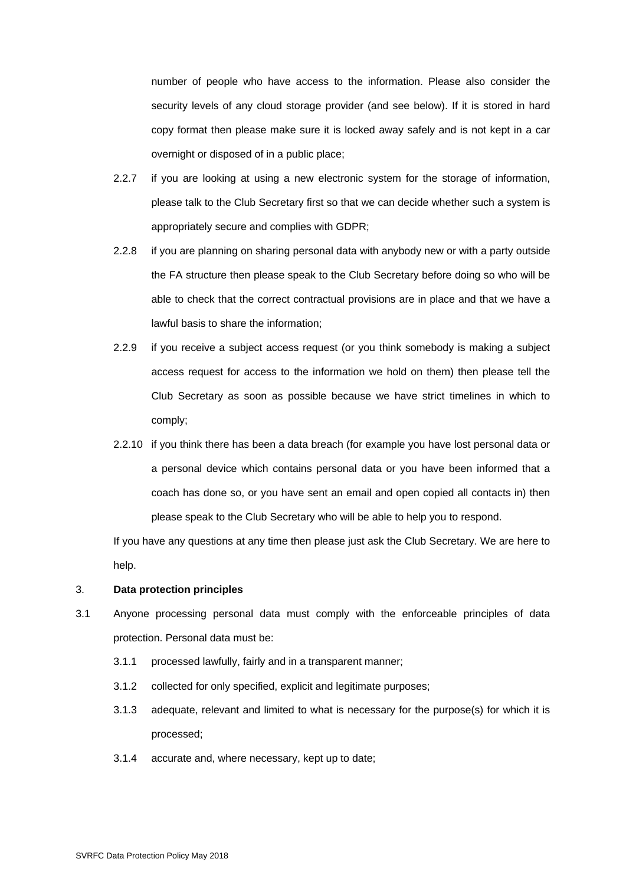number of people who have access to the information. Please also consider the security levels of any cloud storage provider (and see below). If it is stored in hard copy format then please make sure it is locked away safely and is not kept in a car overnight or disposed of in a public place;

- 2.2.7 if you are looking at using a new electronic system for the storage of information, please talk to the Club Secretary first so that we can decide whether such a system is appropriately secure and complies with GDPR;
- 2.2.8 if you are planning on sharing personal data with anybody new or with a party outside the FA structure then please speak to the Club Secretary before doing so who will be able to check that the correct contractual provisions are in place and that we have a lawful basis to share the information;
- 2.2.9 if you receive a subject access request (or you think somebody is making a subject access request for access to the information we hold on them) then please tell the Club Secretary as soon as possible because we have strict timelines in which to comply;
- 2.2.10 if you think there has been a data breach (for example you have lost personal data or a personal device which contains personal data or you have been informed that a coach has done so, or you have sent an email and open copied all contacts in) then please speak to the Club Secretary who will be able to help you to respond.

If you have any questions at any time then please just ask the Club Secretary. We are here to help.

#### 3. **Data protection principles**

- 3.1 Anyone processing personal data must comply with the enforceable principles of data protection. Personal data must be:
	- 3.1.1 processed lawfully, fairly and in a transparent manner;
	- 3.1.2 collected for only specified, explicit and legitimate purposes;
	- 3.1.3 adequate, relevant and limited to what is necessary for the purpose(s) for which it is processed;
	- 3.1.4 accurate and, where necessary, kept up to date;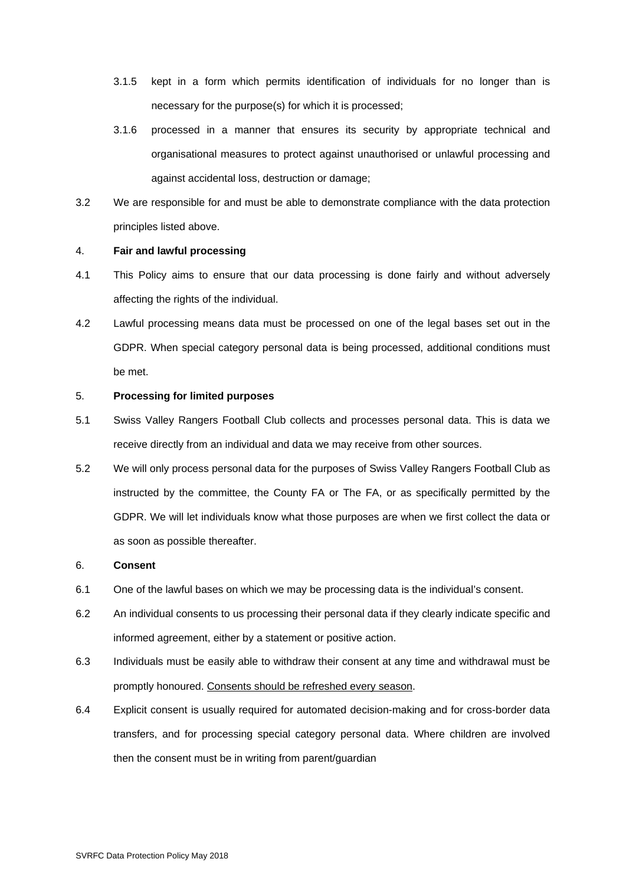- 3.1.5 kept in a form which permits identification of individuals for no longer than is necessary for the purpose(s) for which it is processed;
- 3.1.6 processed in a manner that ensures its security by appropriate technical and organisational measures to protect against unauthorised or unlawful processing and against accidental loss, destruction or damage;
- 3.2 We are responsible for and must be able to demonstrate compliance with the data protection principles listed above.

#### 4. **Fair and lawful processing**

- 4.1 This Policy aims to ensure that our data processing is done fairly and without adversely affecting the rights of the individual.
- 4.2 Lawful processing means data must be processed on one of the legal bases set out in the GDPR. When special category personal data is being processed, additional conditions must be met.

## 5. **Processing for limited purposes**

- 5.1 Swiss Valley Rangers Football Club collects and processes personal data. This is data we receive directly from an individual and data we may receive from other sources.
- 5.2 We will only process personal data for the purposes of Swiss Valley Rangers Football Club as instructed by the committee, the County FA or The FA, or as specifically permitted by the GDPR. We will let individuals know what those purposes are when we first collect the data or as soon as possible thereafter.

#### 6. **Consent**

- 6.1 One of the lawful bases on which we may be processing data is the individual's consent.
- 6.2 An individual consents to us processing their personal data if they clearly indicate specific and informed agreement, either by a statement or positive action.
- 6.3 Individuals must be easily able to withdraw their consent at any time and withdrawal must be promptly honoured. Consents should be refreshed every season.
- 6.4 Explicit consent is usually required for automated decision-making and for cross-border data transfers, and for processing special category personal data. Where children are involved then the consent must be in writing from parent/guardian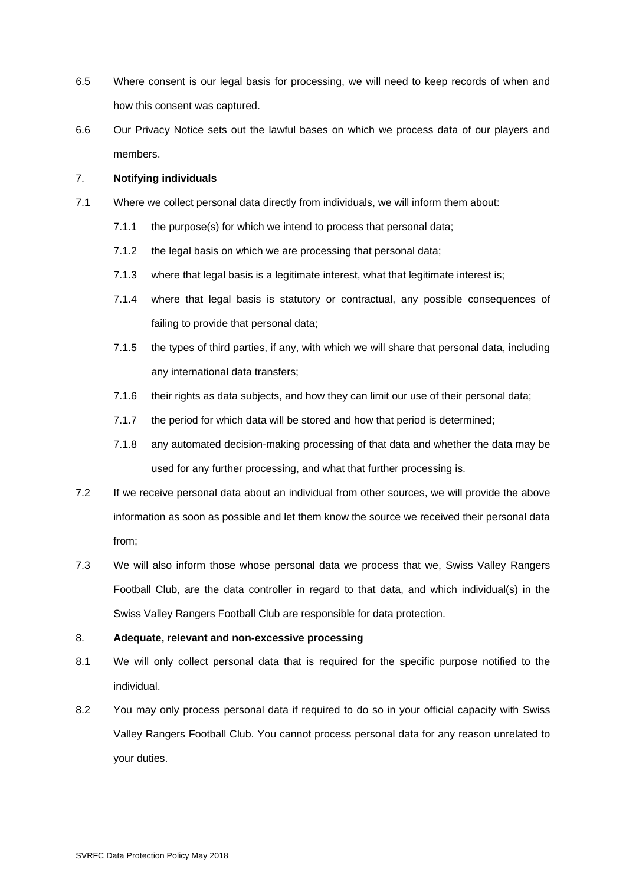- 6.5 Where consent is our legal basis for processing, we will need to keep records of when and how this consent was captured.
- 6.6 Our Privacy Notice sets out the lawful bases on which we process data of our players and members.

## 7. **Notifying individuals**

- 7.1 Where we collect personal data directly from individuals, we will inform them about:
	- 7.1.1 the purpose(s) for which we intend to process that personal data;
	- 7.1.2 the legal basis on which we are processing that personal data;
	- 7.1.3 where that legal basis is a legitimate interest, what that legitimate interest is;
	- 7.1.4 where that legal basis is statutory or contractual, any possible consequences of failing to provide that personal data;
	- 7.1.5 the types of third parties, if any, with which we will share that personal data, including any international data transfers;
	- 7.1.6 their rights as data subjects, and how they can limit our use of their personal data;
	- 7.1.7 the period for which data will be stored and how that period is determined;
	- 7.1.8 any automated decision-making processing of that data and whether the data may be used for any further processing, and what that further processing is.
- 7.2 If we receive personal data about an individual from other sources, we will provide the above information as soon as possible and let them know the source we received their personal data from;
- 7.3 We will also inform those whose personal data we process that we, Swiss Valley Rangers Football Club, are the data controller in regard to that data, and which individual(s) in the Swiss Valley Rangers Football Club are responsible for data protection.

## 8. **Adequate, relevant and non-excessive processing**

- 8.1 We will only collect personal data that is required for the specific purpose notified to the individual.
- 8.2 You may only process personal data if required to do so in your official capacity with Swiss Valley Rangers Football Club. You cannot process personal data for any reason unrelated to your duties.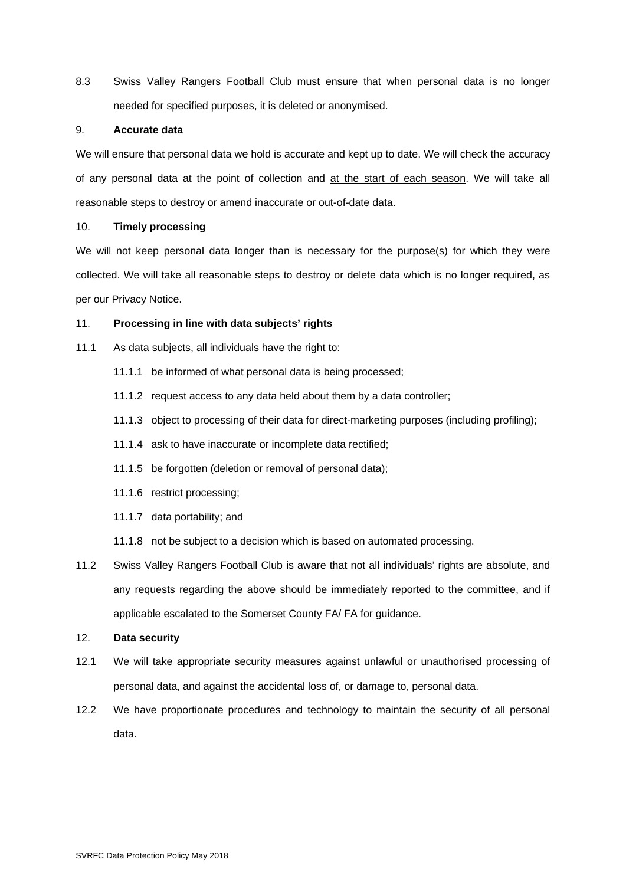8.3 Swiss Valley Rangers Football Club must ensure that when personal data is no longer needed for specified purposes, it is deleted or anonymised.

#### 9. **Accurate data**

We will ensure that personal data we hold is accurate and kept up to date. We will check the accuracy of any personal data at the point of collection and at the start of each season. We will take all reasonable steps to destroy or amend inaccurate or out-of-date data.

## 10. **Timely processing**

We will not keep personal data longer than is necessary for the purpose(s) for which they were collected. We will take all reasonable steps to destroy or delete data which is no longer required, as per our Privacy Notice.

# 11. **Processing in line with data subjects' rights**

- 11.1 As data subjects, all individuals have the right to:
	- 11.1.1 be informed of what personal data is being processed;
	- 11.1.2 request access to any data held about them by a data controller;
	- 11.1.3 object to processing of their data for direct-marketing purposes (including profiling);
	- 11.1.4 ask to have inaccurate or incomplete data rectified;
	- 11.1.5 be forgotten (deletion or removal of personal data);
	- 11.1.6 restrict processing;
	- 11.1.7 data portability; and
	- 11.1.8 not be subject to a decision which is based on automated processing.
- 11.2 Swiss Valley Rangers Football Club is aware that not all individuals' rights are absolute, and any requests regarding the above should be immediately reported to the committee, and if applicable escalated to the Somerset County FA/ FA for guidance.

# 12. **Data security**

- 12.1 We will take appropriate security measures against unlawful or unauthorised processing of personal data, and against the accidental loss of, or damage to, personal data.
- 12.2 We have proportionate procedures and technology to maintain the security of all personal data.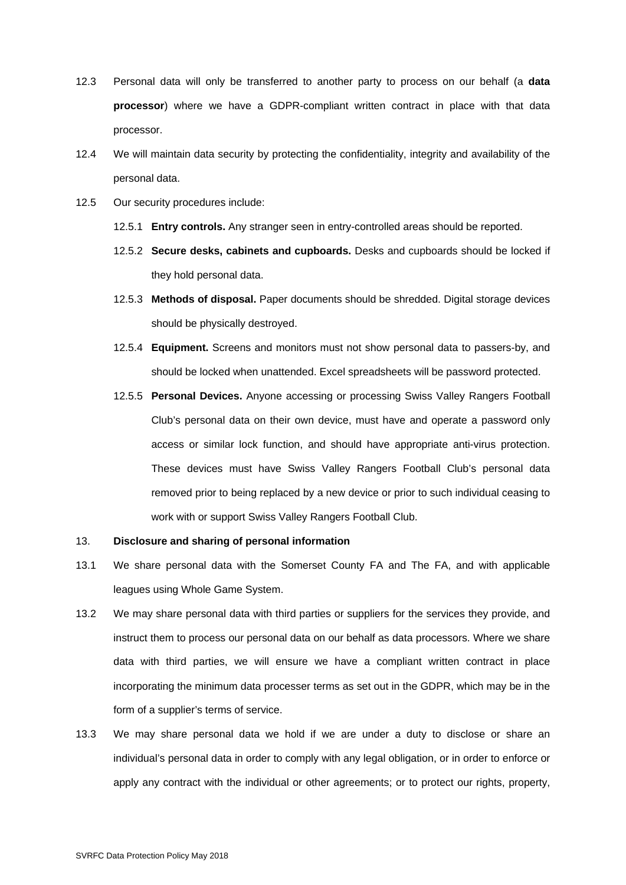- 12.3 Personal data will only be transferred to another party to process on our behalf (a **data processor**) where we have a GDPR-compliant written contract in place with that data processor.
- 12.4 We will maintain data security by protecting the confidentiality, integrity and availability of the personal data.
- 12.5 Our security procedures include:
	- 12.5.1 **Entry controls.** Any stranger seen in entry-controlled areas should be reported.
	- 12.5.2 **Secure desks, cabinets and cupboards.** Desks and cupboards should be locked if they hold personal data.
	- 12.5.3 **Methods of disposal.** Paper documents should be shredded. Digital storage devices should be physically destroyed.
	- 12.5.4 **Equipment.** Screens and monitors must not show personal data to passers-by, and should be locked when unattended. Excel spreadsheets will be password protected.
	- 12.5.5 **Personal Devices.** Anyone accessing or processing Swiss Valley Rangers Football Club's personal data on their own device, must have and operate a password only access or similar lock function, and should have appropriate anti-virus protection. These devices must have Swiss Valley Rangers Football Club's personal data removed prior to being replaced by a new device or prior to such individual ceasing to work with or support Swiss Valley Rangers Football Club.

#### 13. **Disclosure and sharing of personal information**

- 13.1 We share personal data with the Somerset County FA and The FA, and with applicable leagues using Whole Game System.
- 13.2 We may share personal data with third parties or suppliers for the services they provide, and instruct them to process our personal data on our behalf as data processors. Where we share data with third parties, we will ensure we have a compliant written contract in place incorporating the minimum data processer terms as set out in the GDPR, which may be in the form of a supplier's terms of service.
- 13.3 We may share personal data we hold if we are under a duty to disclose or share an individual's personal data in order to comply with any legal obligation, or in order to enforce or apply any contract with the individual or other agreements; or to protect our rights, property,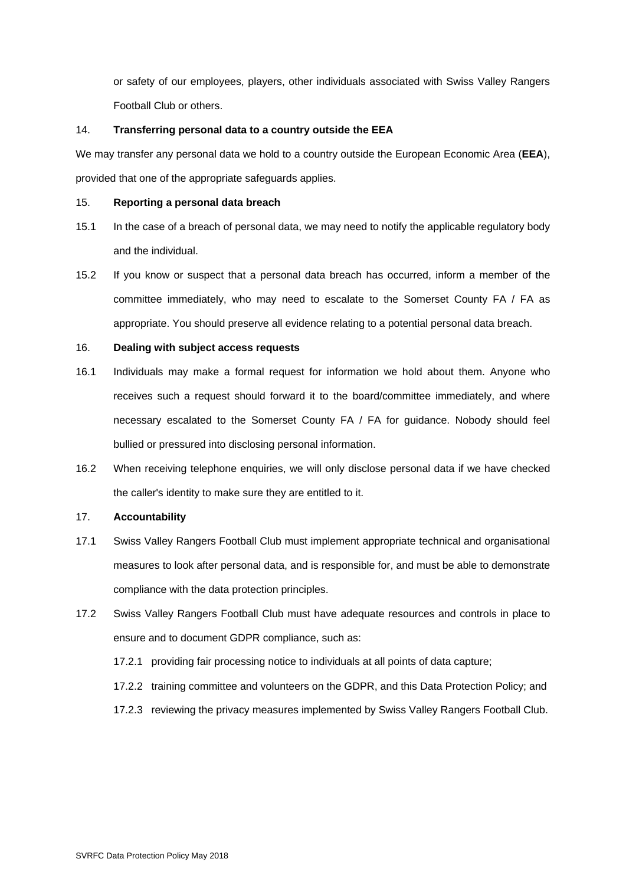or safety of our employees, players, other individuals associated with Swiss Valley Rangers Football Club or others.

## 14. **Transferring personal data to a country outside the EEA**

We may transfer any personal data we hold to a country outside the European Economic Area (**EEA**), provided that one of the appropriate safeguards applies.

## 15. **Reporting a personal data breach**

- 15.1 In the case of a breach of personal data, we may need to notify the applicable regulatory body and the individual.
- 15.2 If you know or suspect that a personal data breach has occurred, inform a member of the committee immediately, who may need to escalate to the Somerset County FA / FA as appropriate. You should preserve all evidence relating to a potential personal data breach.

# 16. **Dealing with subject access requests**

- 16.1 Individuals may make a formal request for information we hold about them. Anyone who receives such a request should forward it to the board/committee immediately, and where necessary escalated to the Somerset County FA / FA for guidance. Nobody should feel bullied or pressured into disclosing personal information.
- 16.2 When receiving telephone enquiries, we will only disclose personal data if we have checked the caller's identity to make sure they are entitled to it.

## 17. **Accountability**

- 17.1 Swiss Valley Rangers Football Club must implement appropriate technical and organisational measures to look after personal data, and is responsible for, and must be able to demonstrate compliance with the data protection principles.
- 17.2 Swiss Valley Rangers Football Club must have adequate resources and controls in place to ensure and to document GDPR compliance, such as:
	- 17.2.1 providing fair processing notice to individuals at all points of data capture;
	- 17.2.2 training committee and volunteers on the GDPR, and this Data Protection Policy; and
	- 17.2.3 reviewing the privacy measures implemented by Swiss Valley Rangers Football Club.